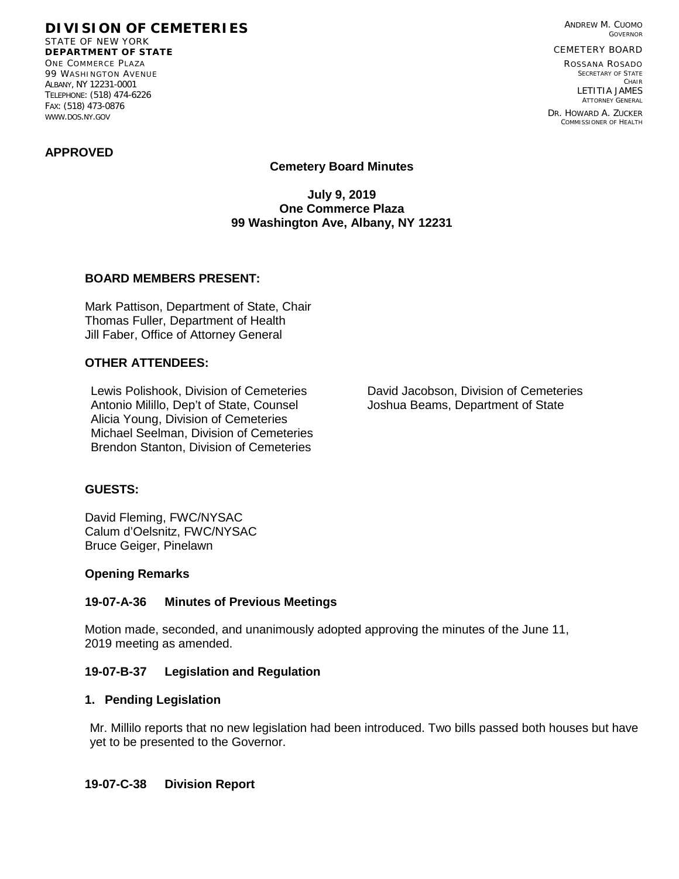**DIVISION OF CEMETERIES** STATE OF NEW YORK **DEPARTMENT OF STATE** ONE COMMERCE PLAZA 99 WASHINGTON AVENUE ALBANY, NY 12231-0001 TELEPHONE: (518) 474-6226 FAX: (518) 473-0876

ANDREW M. CUOMO GOVERNOR

CEMETERY BOARD

ROSSANA ROSADO SECRETARY OF STATE CHAIR LETITIA JAMES ATTORNEY GENERAL

DR. HOWARD A. ZUCKER COMMISSIONER OF HEALTH

# **APPROVED**

WWW.DOS.NY.GOV

**Cemetery Board Minutes**

**July 9, 2019 One Commerce Plaza 99 Washington Ave, Albany, NY 12231**

## **BOARD MEMBERS PRESENT:**

Mark Pattison, Department of State, Chair Thomas Fuller, Department of Health Jill Faber, Office of Attorney General

## **OTHER ATTENDEES:**

Lewis Polishook, Division of Cemeteries David Jacobson, Division of Cemeteries Antonio Milillo, Dep't of State, Counsel Joshua Beams, Department of State Alicia Young, Division of Cemeteries Michael Seelman, Division of Cemeteries Brendon Stanton, Division of Cemeteries

## **GUESTS:**

David Fleming, FWC/NYSAC Calum d'Oelsnitz, FWC/NYSAC Bruce Geiger, Pinelawn

#### **Opening Remarks**

## **19-07-A-36 Minutes of Previous Meetings**

Motion made, seconded, and unanimously adopted approving the minutes of the June 11, 2019 meeting as amended.

## **19-07-B-37 Legislation and Regulation**

#### **1. Pending Legislation**

Mr. Millilo reports that no new legislation had been introduced. Two bills passed both houses but have yet to be presented to the Governor.

## **19-07-C-38 Division Report**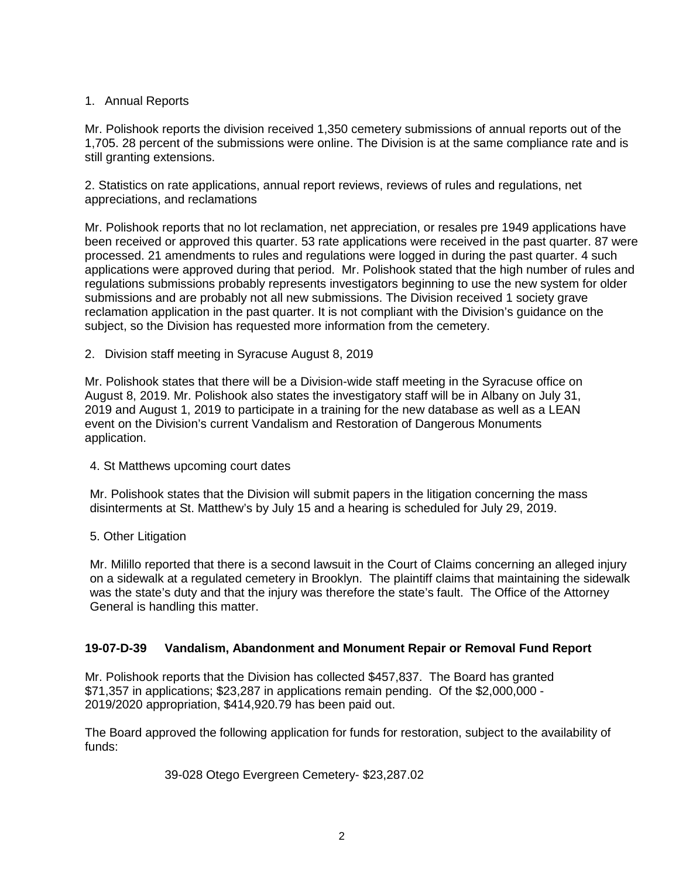# 1. Annual Reports

Mr. Polishook reports the division received 1,350 cemetery submissions of annual reports out of the 1,705. 28 percent of the submissions were online. The Division is at the same compliance rate and is still granting extensions.

2. Statistics on rate applications, annual report reviews, reviews of rules and regulations, net appreciations, and reclamations

Mr. Polishook reports that no lot reclamation, net appreciation, or resales pre 1949 applications have been received or approved this quarter. 53 rate applications were received in the past quarter. 87 were processed. 21 amendments to rules and regulations were logged in during the past quarter. 4 such applications were approved during that period. Mr. Polishook stated that the high number of rules and regulations submissions probably represents investigators beginning to use the new system for older submissions and are probably not all new submissions. The Division received 1 society grave reclamation application in the past quarter. It is not compliant with the Division's guidance on the subject, so the Division has requested more information from the cemetery.

2. Division staff meeting in Syracuse August 8, 2019

Mr. Polishook states that there will be a Division-wide staff meeting in the Syracuse office on August 8, 2019. Mr. Polishook also states the investigatory staff will be in Albany on July 31, 2019 and August 1, 2019 to participate in a training for the new database as well as a LEAN event on the Division's current Vandalism and Restoration of Dangerous Monuments application.

## 4. St Matthews upcoming court dates

Mr. Polishook states that the Division will submit papers in the litigation concerning the mass disinterments at St. Matthew's by July 15 and a hearing is scheduled for July 29, 2019.

5. Other Litigation

Mr. Milillo reported that there is a second lawsuit in the Court of Claims concerning an alleged injury on a sidewalk at a regulated cemetery in Brooklyn. The plaintiff claims that maintaining the sidewalk was the state's duty and that the injury was therefore the state's fault. The Office of the Attorney General is handling this matter.

# **19-07-D-39 Vandalism, Abandonment and Monument Repair or Removal Fund Report**

Mr. Polishook reports that the Division has collected \$457,837. The Board has granted \$71,357 in applications; \$23,287 in applications remain pending. Of the \$2,000,000 - 2019/2020 appropriation, \$414,920.79 has been paid out.

The Board approved the following application for funds for restoration, subject to the availability of funds:

39-028 Otego Evergreen Cemetery- \$23,287.02